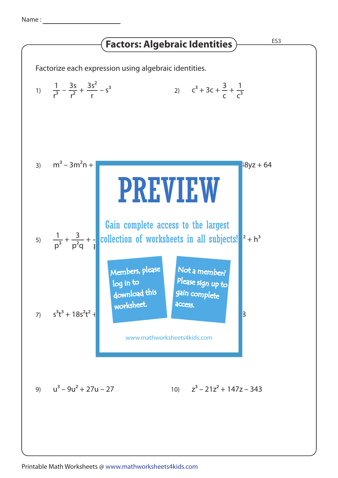